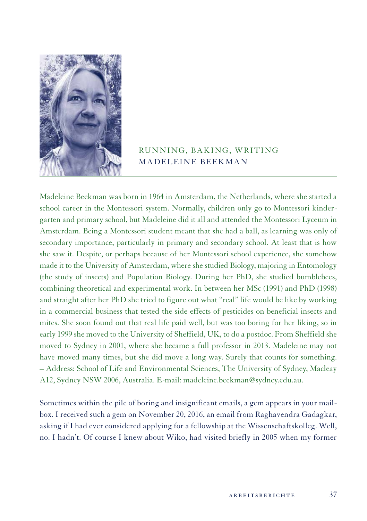

## RUNNING, BAKING, WRITING MADELEINE BEEKMAN

Madeleine Beekman was born in 1964 in Amsterdam, the Netherlands, where she started a school career in the Montessori system. Normally, children only go to Montessori kindergarten and primary school, but Madeleine did it all and attended the Montessori Lyceum in Amsterdam. Being a Montessori student meant that she had a ball, as learning was only of secondary importance, particularly in primary and secondary school. At least that is how she saw it. Despite, or perhaps because of her Montessori school experience, she somehow made it to the University of Amsterdam, where she studied Biology, majoring in Entomology (the study of insects) and Population Biology. During her PhD, she studied bumblebees, combining theoretical and experimental work. In between her MSc (1991) and PhD (1998) and straight after her PhD she tried to figure out what "real" life would be like by working in a commercial business that tested the side effects of pesticides on beneficial insects and mites. She soon found out that real life paid well, but was too boring for her liking, so in early 1999 she moved to the University of Sheffield, UK, to do a postdoc. From Sheffield she moved to Sydney in 2001, where she became a full professor in 2013. Madeleine may not have moved many times, but she did move a long way. Surely that counts for something. – Address: School of Life and Environmental Sciences, The University of Sydney, Macleay A12, Sydney NSW 2006, Australia. E-mail: madeleine.beekman@sydney.edu.au.

Sometimes within the pile of boring and insignificant emails, a gem appears in your mailbox. I received such a gem on November 20, 2016, an email from Raghavendra Gadagkar, asking if I had ever considered applying for a fellowship at the Wissenschaftskolleg. Well, no. I hadn't. Of course I knew about Wiko, had visited briefly in 2005 when my former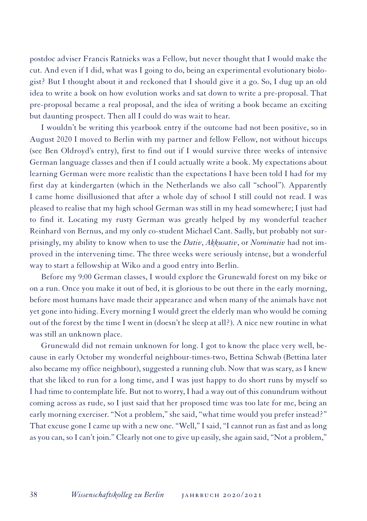postdoc adviser Francis Ratnieks was a Fellow, but never thought that I would make the cut. And even if I did, what was I going to do, being an experimental evolutionary biologist? But I thought about it and reckoned that I should give it a go. So, I dug up an old idea to write a book on how evolution works and sat down to write a pre-proposal. That pre-proposal became a real proposal, and the idea of writing a book became an exciting but daunting prospect. Then all I could do was wait to hear.

I wouldn't be writing this yearbook entry if the outcome had not been positive, so in August 2020 I moved to Berlin with my partner and fellow Fellow, not without hiccups (see Ben Oldroyd's entry), first to find out if I would survive three weeks of intensive German language classes and then if I could actually write a book. My expectations about learning German were more realistic than the expectations I have been told I had for my first day at kindergarten (which in the Netherlands we also call "school"). Apparently I came home disillusioned that after a whole day of school I still could not read. I was pleased to realise that my high school German was still in my head somewhere; I just had to find it. Locating my rusty German was greatly helped by my wonderful teacher Reinhard von Bernus, and my only co-student Michael Cant. Sadly, but probably not surprisingly, my ability to know when to use the *Dativ*, *Akkusativ*, or *Nominativ* had not improved in the intervening time. The three weeks were seriously intense, but a wonderful way to start a fellowship at Wiko and a good entry into Berlin.

Before my 9:00 German classes, I would explore the Grunewald forest on my bike or on a run. Once you make it out of bed, it is glorious to be out there in the early morning, before most humans have made their appearance and when many of the animals have not yet gone into hiding. Every morning I would greet the elderly man who would be coming out of the forest by the time I went in (doesn't he sleep at all?). A nice new routine in what was still an unknown place.

Grunewald did not remain unknown for long. I got to know the place very well, because in early October my wonderful neighbour-times-two, Bettina Schwab (Bettina later also became my office neighbour), suggested a running club. Now that was scary, as I knew that she liked to run for a long time, and I was just happy to do short runs by myself so I had time to contemplate life. But not to worry, I had a way out of this conundrum without coming across as rude, so I just said that her proposed time was too late for me, being an early morning exerciser. "Not a problem," she said, "what time would you prefer instead?" That excuse gone I came up with a new one. "Well," I said, "I cannot run as fast and as long as you can, so I can't join." Clearly not one to give up easily, she again said, "Not a problem,"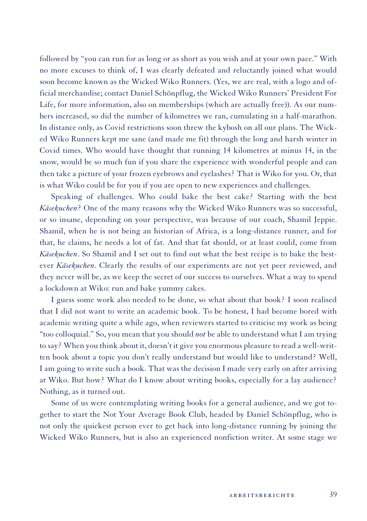followed by "you can run for as long or as short as you wish and at your own pace." With no more excuses to think of, I was clearly defeated and reluctantly joined what would soon become known as the Wicked Wiko Runners. (Yes, we are real, with a logo and official merchandise; contact Daniel Schönpflug, the Wicked Wiko Runners' President For Life, for more information, also on memberships (which are actually free)). As our numbers increased, so did the number of kilometres we ran, cumulating in a half-marathon. In distance only, as Covid restrictions soon threw the kybosh on all our plans. The Wicked Wiko Runners kept me sane (and made me fit) through the long and harsh winter in Covid times. Who would have thought that running 14 kilometres at minus 14, in the snow, would be so much fun if you share the experience with wonderful people and can then take a picture of your frozen eyebrows and eyelashes? That is Wiko for you. Or, that is what Wiko could be for you if you are open to new experiences and challenges.

Speaking of challenges. Who could bake the best cake? Starting with the best *Käsekuchen*? One of the many reasons why the Wicked Wiko Runners was so successful, or so insane, depending on your perspective, was because of our coach, Shamil Jeppie. Shamil, when he is not being an historian of Africa, is a long-distance runner, and for that, he claims, he needs a lot of fat. And that fat should, or at least could, come from *Käsekuchen*. So Shamil and I set out to find out what the best recipe is to bake the bestever *Käsekuchen*. Clearly the results of our experiments are not yet peer reviewed, and they never will be, as we keep the secret of our success to ourselves. What a way to spend a lockdown at Wiko: run and bake yummy cakes.

I guess some work also needed to be done, so what about that book? I soon realised that I did not want to write an academic book. To be honest, I had become bored with academic writing quite a while ago, when reviewers started to criticise my work as being "too colloquial." So, you mean that you should *not* be able to understand what I am trying to say? When you think about it, doesn't it give you enormous pleasure to read a well-written book about a topic you don't really understand but would like to understand? Well, I am going to write such a book. That was the decision I made very early on after arriving at Wiko. But how? What do I know about writing books, especially for a lay audience? Nothing, as it turned out.

Some of us were contemplating writing books for a general audience, and we got together to start the Not Your Average Book Club, headed by Daniel Schönpflug, who is not only the quickest person ever to get back into long-distance running by joining the Wicked Wiko Runners, but is also an experienced nonfiction writer. At some stage we